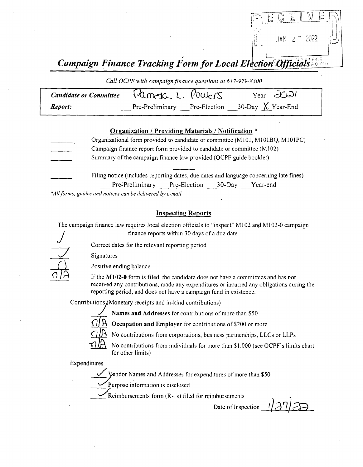

Campaign Finance Tracking Form for Local Election Officials.

Call OCPF with campaign finance questions at 617-979-8300

| Candidate or Committee $\int$ Currence L. POWERS |  |  | Year $\partial \angle D$                         |  |  |
|--------------------------------------------------|--|--|--------------------------------------------------|--|--|
| Report:                                          |  |  | Pre-Preliminary Pre-Election 30-Day $X$ Year-End |  |  |

#### Organization / Providing Materials/ Notification \*

Organizational form provided to candidate or committee( M101, M101BQ, MIO1PC) Campaign finance report form provided to candidate or committee( M102) Summary of the campaign finance law provided (OCPF guide booklet) Filing notice (includes reporting dates, due dates and language concerning late fines) Pre-Preliminary Pre-Election 30-Day Year-end

\*All forms, guides and notices can be delivered by e-mail

#### Inspecting Reports

The campaign finance law requires local election officials to "inspect" M102 and M102-0 campaign If the campaign finance law requires local election officials to "inspect"<br>
finance reports within 30 days of a due date.<br>
Correct dates for the relevant reporting period

1 Signatures Signatures

Positive ending balance<br>If the M102-0 form is filed, the candidate does not have a committees and has not received any contributions, made any expenditures or incurred any obligations during the reporting period, and does not have a campaign fund in existence.

Contributions (Monetary receipts and in-kind contributions)



Names and Addresses for contributions of more than S50

Occupation and Employer for contributions of \$200 or more



No contributions from individuals for more than \$1,000 (see OCPF's limits chart for other limits)

Expenditures

Vendor Names and Addresses for expenditures of more than \$50

Purpose information is disclosed

Reimbursements form (R-1s) filed for reimbursements

Date of Inspection  $\frac{1}{2}$ r) $\overline{\mathcal{L}}$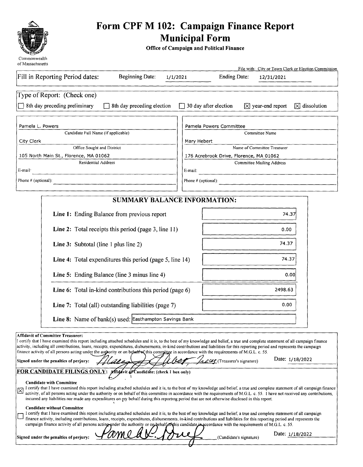

# Form CPF M 102: Campaign Finance Report<br>
14fr: Municipal Form<br>
14fr: Municipal Form

Office of Campaign and Political Finance

| Commonweam<br>of Massachusetts                                                                                                                                                                                                                                                                                                                                                                                                                                                                                                                                                                                                                                                  | File with: City or Town Clerk or Election Commission                                      |
|---------------------------------------------------------------------------------------------------------------------------------------------------------------------------------------------------------------------------------------------------------------------------------------------------------------------------------------------------------------------------------------------------------------------------------------------------------------------------------------------------------------------------------------------------------------------------------------------------------------------------------------------------------------------------------|-------------------------------------------------------------------------------------------|
| Fill in Reporting Period dates:<br><b>Beginning Date:</b><br>1/1/2021                                                                                                                                                                                                                                                                                                                                                                                                                                                                                                                                                                                                           | <b>Ending Date:</b><br>12/31/2021                                                         |
| Type of Report: (Check one)                                                                                                                                                                                                                                                                                                                                                                                                                                                                                                                                                                                                                                                     |                                                                                           |
| 8th day preceding preliminary<br>8th day preceding election                                                                                                                                                                                                                                                                                                                                                                                                                                                                                                                                                                                                                     | $\Box$ 30 day after election<br>$\boxtimes$ year-end report<br>$\overline{X}$ dissolution |
| Pamela L. Powers                                                                                                                                                                                                                                                                                                                                                                                                                                                                                                                                                                                                                                                                | Pamela Powers Committee                                                                   |
| Candidate Full Name (if applicable)                                                                                                                                                                                                                                                                                                                                                                                                                                                                                                                                                                                                                                             | Committee Name                                                                            |
| City Clerk                                                                                                                                                                                                                                                                                                                                                                                                                                                                                                                                                                                                                                                                      | Mary Hebert                                                                               |
| Office Sought and District                                                                                                                                                                                                                                                                                                                                                                                                                                                                                                                                                                                                                                                      | Name of Committee Treasurer                                                               |
| 105 North Main St., Florence, MA 01062                                                                                                                                                                                                                                                                                                                                                                                                                                                                                                                                                                                                                                          | 176 Acrebrook Drive, Florence, MA 01062                                                   |
| <b>Residential Address</b><br>E-mail·                                                                                                                                                                                                                                                                                                                                                                                                                                                                                                                                                                                                                                           | <b>Committee Mailing Address</b><br>E-mail:                                               |
| Phone # (optional):                                                                                                                                                                                                                                                                                                                                                                                                                                                                                                                                                                                                                                                             | Phone # (optional):                                                                       |
| <b>SUMMARY BALANCE INFORMATION:</b>                                                                                                                                                                                                                                                                                                                                                                                                                                                                                                                                                                                                                                             |                                                                                           |
| Line 1: Ending Balance from previous report                                                                                                                                                                                                                                                                                                                                                                                                                                                                                                                                                                                                                                     | 74.37                                                                                     |
| Line 2: Total receipts this period (page 3, line 11)                                                                                                                                                                                                                                                                                                                                                                                                                                                                                                                                                                                                                            | 0.00                                                                                      |
| Line 3: Subtotal (line 1 plus line 2)                                                                                                                                                                                                                                                                                                                                                                                                                                                                                                                                                                                                                                           | 74.37                                                                                     |
| Line 4: Total expenditures this period (page 5, line 14)                                                                                                                                                                                                                                                                                                                                                                                                                                                                                                                                                                                                                        | 74.37                                                                                     |
| Line 5: Ending Balance (line 3 minus line 4)                                                                                                                                                                                                                                                                                                                                                                                                                                                                                                                                                                                                                                    | 0.00                                                                                      |
| Line 6: Total in-kind contributions this period (page 6)                                                                                                                                                                                                                                                                                                                                                                                                                                                                                                                                                                                                                        | 2498.63                                                                                   |
| Line 7: Total (all) outstanding liabilities (page 7)                                                                                                                                                                                                                                                                                                                                                                                                                                                                                                                                                                                                                            | 0.00                                                                                      |
| Line 8: Name of bank(s) used: Easthampton Savings Bank                                                                                                                                                                                                                                                                                                                                                                                                                                                                                                                                                                                                                          |                                                                                           |
| Affidavit of Committee Treasurer:<br>I certify that I have examined this report including attached schedules and it is, to the best of my knowledge and belief, a true and complete statement of all campaign finance<br>activity, including all contributions, loans, receipts, expenditures, disbursements, in-kind contributions and liabilities for this reporting period and represents the campaign<br>finance activity of all persons acting under the authority or on behalf of this committee in accordance with the requirements of M.G.L. c. 55.<br>Signed under the penalties of perjury:<br>FOR CANDIDATE FILINGS ONLY: Affigavit of Candidate: (check 1 box only) | Date: 1/18/2022<br>here (Treasurer's signature)                                           |

#### Candidate with Committee

I certify that I have examined this report including attached schedules and it is, to the best of my knowledge and belief, a true and complete statement of all campaign finance activity, of all persons acting under the authority or on behalf of this committee in accordance with the requirements of M.G.L. c. 55. I have not received any contribution incurred any liabilities nor made any expenditures on my behalf during this reporting period that are not otherwise disclosed in this report.

#### Candidate without Committee

I certify that I have examined this report including attached schedules and it is, to the best of my knowledge and belief, <sup>a</sup> true and complete statement of all campaign  $\Box$ finance activity, including contributions, loans, receipts, expenditures, disbursements, in-kind contributions and liabilities for this reporting period and represents the campaign finance activity of all persons acting under the authority or on behalf of this candidate in accordance with the requirements of M.G.L. c. 55.

|  |  | igned under the penalties of perjury: |
|--|--|---------------------------------------|

(Candidate's signature)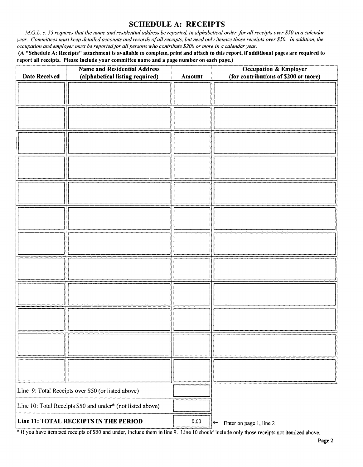### SCHEDULE A: RECEIPTS

M.G.L. c. 55 requires that the name and residential address be reported, in alphabetical order, for all receipts over \$50 in a calendar year. Committees must keep detailed accounts and records of all receipts, but need only itemize those receipts over \$50. In addition, the occupation and employer must be reported for all persons who contribute \$200 or more in a calendar year.

A " Schedule A: Receipts" attachment is available to complete, print and attach to this report, if additional pages are required to report all receipts. Please include your committee name and a page number on each page.)

| <b>Date Received</b>                                       | <b>Name and Residential Address</b><br>(alphabetical listing required) | Amount | <b>Occupation &amp; Employer</b><br>(for contributions of \$200 or more) |
|------------------------------------------------------------|------------------------------------------------------------------------|--------|--------------------------------------------------------------------------|
|                                                            |                                                                        |        |                                                                          |
|                                                            |                                                                        |        |                                                                          |
|                                                            |                                                                        |        |                                                                          |
|                                                            |                                                                        |        |                                                                          |
|                                                            |                                                                        |        |                                                                          |
|                                                            |                                                                        |        |                                                                          |
|                                                            |                                                                        |        |                                                                          |
|                                                            |                                                                        |        |                                                                          |
|                                                            |                                                                        |        |                                                                          |
|                                                            |                                                                        |        |                                                                          |
|                                                            |                                                                        |        |                                                                          |
|                                                            |                                                                        |        |                                                                          |
|                                                            |                                                                        |        |                                                                          |
|                                                            |                                                                        |        |                                                                          |
| Line 9: Total Receipts over \$50 (or listed above)         |                                                                        |        |                                                                          |
| Line 10: Total Receipts \$50 and under* (not listed above) |                                                                        |        |                                                                          |
| Line 11: TOTAL RECEIPTS IN THE PERIOD                      |                                                                        | 0.00   | $\left  \leftarrow \right $<br>Enter on page 1, line 2                   |

<sup>\*</sup> If you have itemized receipts of \$50 and under, include them in line 9. Line 10 should include only those receipts not itemized above.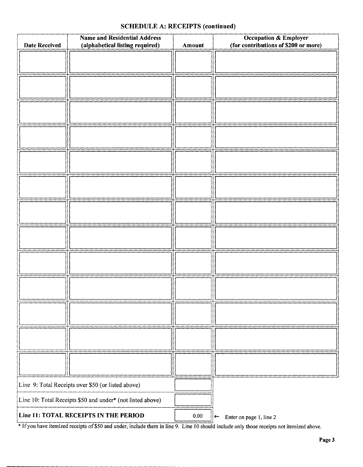### SCHEDULE A: RECEIPTS (continued)

|                                                    | <b>Name and Residential Address</b>                        |        | <b>Occupation &amp; Employer</b>                     |
|----------------------------------------------------|------------------------------------------------------------|--------|------------------------------------------------------|
| <b>Date Received</b>                               | (alphabetical listing required)                            | Amount | (for contributions of \$200 or more)                 |
|                                                    |                                                            |        |                                                      |
|                                                    |                                                            |        |                                                      |
|                                                    |                                                            |        |                                                      |
|                                                    |                                                            |        |                                                      |
|                                                    |                                                            |        |                                                      |
|                                                    |                                                            |        |                                                      |
|                                                    |                                                            |        |                                                      |
|                                                    |                                                            |        |                                                      |
|                                                    |                                                            |        |                                                      |
|                                                    |                                                            |        |                                                      |
|                                                    |                                                            |        |                                                      |
|                                                    |                                                            |        |                                                      |
|                                                    |                                                            |        |                                                      |
|                                                    |                                                            |        |                                                      |
|                                                    |                                                            |        |                                                      |
|                                                    |                                                            |        |                                                      |
|                                                    |                                                            |        |                                                      |
|                                                    |                                                            |        |                                                      |
|                                                    |                                                            |        |                                                      |
|                                                    |                                                            |        |                                                      |
|                                                    |                                                            |        |                                                      |
|                                                    |                                                            |        |                                                      |
|                                                    |                                                            |        |                                                      |
|                                                    |                                                            |        |                                                      |
|                                                    |                                                            |        |                                                      |
|                                                    |                                                            |        |                                                      |
|                                                    |                                                            |        |                                                      |
|                                                    |                                                            |        |                                                      |
|                                                    |                                                            |        |                                                      |
|                                                    |                                                            |        |                                                      |
|                                                    |                                                            |        |                                                      |
|                                                    |                                                            |        |                                                      |
|                                                    |                                                            |        |                                                      |
| Line 9: Total Receipts over \$50 (or listed above) |                                                            |        |                                                      |
|                                                    | Line 10: Total Receipts \$50 and under* (not listed above) |        |                                                      |
| Line 11: TOTAL RECEIPTS IN THE PERIOD              |                                                            | 0.00   | Enter on page 1, line 2<br>$\left \leftarrow\right $ |

If you have itemized receipts of\$50 and under, include them in line 9. Line <sup>10</sup> should include only those receipts not itemized above.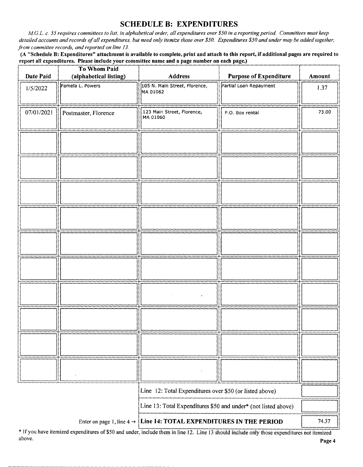## SCHEDULE B: EXPENDITURES

M.G.L. c. 55 requires committees to list, in alphabetical order, all expenditures over \$50 in a reporting period. Committees must keep detailed accounts and records of all expenditures, but need only itemize those over \$50. Expenditures \$50 and under may be added together, from committee records, and reported on line 13.

A " Schedule B: Expenditures" attachment is available to complete, print and attach to this report, if additional pages are required to report all expenditures. Please include your committee name and a page number on each page.)

| Date Paid  | <b>To Whom Paid</b><br>(alphabetical listing) | <b>Address</b>                                          | <b>Purpose of Expenditure</b>                                  | Amount |
|------------|-----------------------------------------------|---------------------------------------------------------|----------------------------------------------------------------|--------|
| 1/5/2022   | Pamela L. Powers                              | 105 N. Main Street, Florence,<br>MA 01062               | Partial Loan Repayment                                         | 1.37   |
|            |                                               |                                                         |                                                                |        |
| 07/01/2021 | Postmaster, Florence                          | 123 Main Street, Florence,<br>MA 01060                  | P.O. Box rental                                                | 73.00  |
|            |                                               |                                                         |                                                                |        |
|            |                                               |                                                         |                                                                |        |
|            |                                               |                                                         |                                                                |        |
|            |                                               |                                                         |                                                                |        |
|            |                                               |                                                         |                                                                |        |
|            |                                               |                                                         |                                                                |        |
|            |                                               |                                                         |                                                                |        |
|            |                                               |                                                         |                                                                |        |
|            |                                               |                                                         |                                                                |        |
|            |                                               |                                                         |                                                                |        |
|            |                                               |                                                         |                                                                |        |
|            |                                               |                                                         |                                                                |        |
|            |                                               |                                                         |                                                                |        |
|            |                                               |                                                         |                                                                |        |
|            |                                               |                                                         |                                                                |        |
|            |                                               |                                                         |                                                                |        |
|            |                                               |                                                         |                                                                |        |
|            |                                               |                                                         |                                                                |        |
|            |                                               |                                                         |                                                                |        |
|            |                                               | Line 12: Total Expenditures over \$50 (or listed above) |                                                                |        |
|            |                                               |                                                         | Line 13: Total Expenditures \$50 and under* (not listed above) |        |
|            | Enter on page 1, line $4 \rightarrow$         | Line 14: TOTAL EXPENDITURES IN THE PERIOD               |                                                                | 74.37  |

If you have itemized expenditures of\$50 and under, include them in line 12. Line <sup>13</sup> should include only those expenditures not itemized above. **Page 4**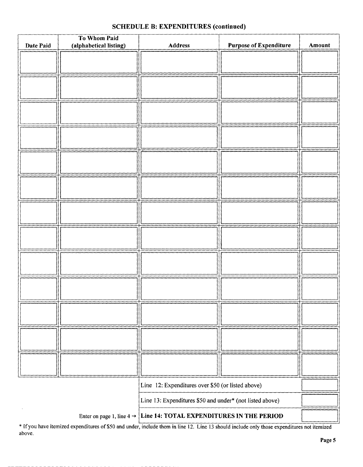| Date Paid                                                                          | To Whom Paid<br>(alphabetical listing) | Address                                           | <b>Purpose of Expenditure</b> | Amount |
|------------------------------------------------------------------------------------|----------------------------------------|---------------------------------------------------|-------------------------------|--------|
|                                                                                    |                                        |                                                   |                               |        |
|                                                                                    |                                        |                                                   |                               |        |
|                                                                                    |                                        |                                                   |                               |        |
|                                                                                    |                                        |                                                   |                               |        |
|                                                                                    |                                        |                                                   |                               |        |
|                                                                                    |                                        |                                                   |                               |        |
|                                                                                    |                                        |                                                   |                               |        |
|                                                                                    |                                        |                                                   |                               |        |
|                                                                                    |                                        |                                                   |                               |        |
|                                                                                    |                                        |                                                   |                               |        |
|                                                                                    |                                        |                                                   |                               |        |
|                                                                                    |                                        |                                                   |                               |        |
|                                                                                    |                                        |                                                   |                               |        |
|                                                                                    |                                        |                                                   |                               |        |
|                                                                                    |                                        |                                                   |                               |        |
|                                                                                    |                                        |                                                   |                               |        |
|                                                                                    |                                        |                                                   |                               |        |
|                                                                                    |                                        |                                                   |                               |        |
|                                                                                    |                                        |                                                   |                               |        |
|                                                                                    |                                        |                                                   |                               |        |
|                                                                                    |                                        |                                                   |                               |        |
|                                                                                    |                                        |                                                   |                               |        |
|                                                                                    |                                        |                                                   |                               |        |
|                                                                                    |                                        |                                                   |                               |        |
|                                                                                    |                                        |                                                   |                               |        |
|                                                                                    |                                        |                                                   |                               |        |
|                                                                                    |                                        | Line 12: Expenditures over \$50 (or listed above) |                               |        |
| Line 13: Expenditures \$50 and under* (not listed above)                           |                                        |                                                   |                               |        |
| Line 14: TOTAL EXPENDITURES IN THE PERIOD<br>Enter on page 1, line $4 \rightarrow$ |                                        |                                                   |                               |        |

#### SCHEDULE B: EXPENDITURES (continued)

If you have itemized expenditures of \$50 and under, include them in line 12. Line 13 should include only those expenditures not itemized above.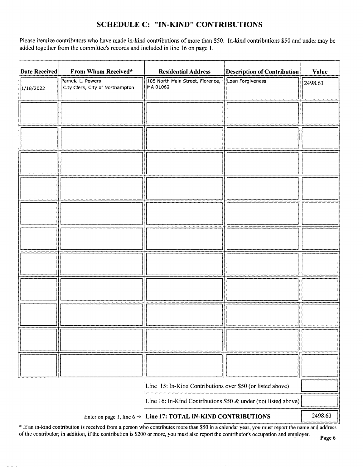## SCHEDULE C: "IN-KIND" CONTRIBUTIONS

Please itemize contributors who have made in-kind contributions of more than \$50. In-kind contributions \$50 and under may be added together from the committee's records and included in line 16 on page 1.

| <b>Date Received</b> | From Whom Received*                                            | <b>Residential Address</b>                                 | <b>Description of Contribution</b> | Value   |
|----------------------|----------------------------------------------------------------|------------------------------------------------------------|------------------------------------|---------|
| 1/18/2022            | Pamela L. Powers<br>City Clerk, City of Northampton            | 105 North Main Street, Florence,<br>MA 01062               | Loan Forgiveness                   | 2498.63 |
|                      |                                                                |                                                            |                                    |         |
|                      |                                                                |                                                            |                                    |         |
|                      |                                                                |                                                            |                                    |         |
|                      |                                                                |                                                            |                                    |         |
|                      |                                                                |                                                            |                                    |         |
|                      |                                                                |                                                            |                                    |         |
|                      |                                                                |                                                            |                                    |         |
|                      |                                                                |                                                            |                                    |         |
|                      |                                                                |                                                            |                                    |         |
|                      |                                                                |                                                            |                                    |         |
|                      |                                                                |                                                            |                                    |         |
|                      |                                                                |                                                            |                                    |         |
|                      |                                                                |                                                            |                                    |         |
|                      |                                                                |                                                            |                                    |         |
|                      |                                                                |                                                            |                                    |         |
|                      |                                                                |                                                            |                                    |         |
|                      |                                                                |                                                            |                                    |         |
|                      |                                                                |                                                            |                                    |         |
|                      |                                                                |                                                            |                                    |         |
|                      |                                                                | Line 15: In-Kind Contributions over \$50 (or listed above) |                                    |         |
|                      | Line 16: In-Kind Contributions \$50 & under (not listed above) |                                                            |                                    |         |
|                      | Enter on page 1, line 6 $\rightarrow$                          | Line 17: TOTAL IN-KIND CONTRIBUTIONS                       |                                    | 2498.63 |

If an in-kind contribution is received from a person who contributes more than \$50 in a calendar year, you must report the name and address of the contributor; in addition, if the contribution is \$200 or more, you must also report the contributor's occupation and employer.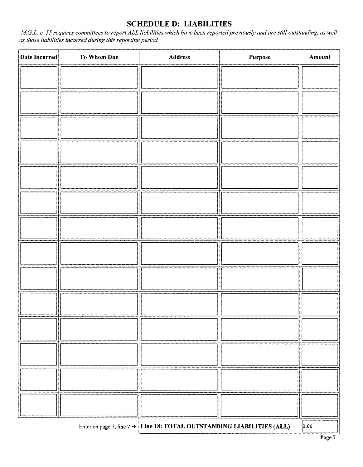## SCHEDULE D: LIABILITIES

M.G.L. c. SS requires committees to report ALL liabilities which have been reported previously and are still outstanding, as well as those liabilities incurred during this reporting period.

| Date Incurred | To Whom Due | Address                                                                            | Purpose | Amount |
|---------------|-------------|------------------------------------------------------------------------------------|---------|--------|
|               |             |                                                                                    |         |        |
|               |             |                                                                                    |         |        |
|               |             |                                                                                    |         |        |
|               |             |                                                                                    |         |        |
|               |             |                                                                                    |         |        |
|               |             |                                                                                    |         |        |
|               |             |                                                                                    |         |        |
|               |             |                                                                                    |         |        |
|               |             |                                                                                    |         |        |
|               |             |                                                                                    |         |        |
|               |             |                                                                                    |         |        |
|               |             |                                                                                    |         |        |
|               |             |                                                                                    |         |        |
|               |             |                                                                                    |         |        |
|               |             | Enter on page 1, line $7 \rightarrow$ Line 18: TOTAL OUTSTANDING LIABILITIES (ALL) |         | 0.00   |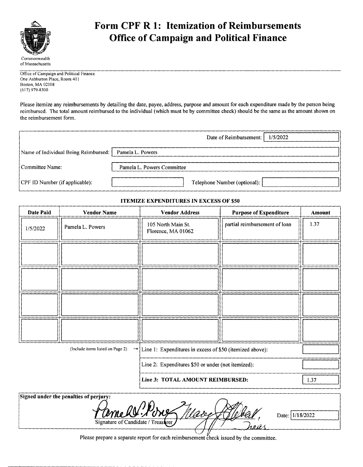

## Form CPF R 1: Itemization of Reimbursements Office of Campaign and Political Finance

Office of Campaign and Political Finance One Ashburton Place, Room 411 Boston, MA 02108 617) 979- 8300

Please itemize any reimbursements by detailing the date, payee, address, purpose and amount for each expenditure made by the person being reimbursed. The total amount reimbursed to the individual( which must be by committee check) should be the same as the amount shown on the reimbursement form.

|                                      | 1/5/2022<br>Date of Reimbursement: |
|--------------------------------------|------------------------------------|
| Name of Individual Being Reimbursed: | Pamela L. Powers                   |
| Committee Name:                      | Pamela L. Powers Committee         |
| CPF ID Number (if applicable):       | Telephone Number (optional):       |

#### **ITEMIZE EXPENDITURES IN EXCESS OF \$50**

| Date Paid | <b>Vendor Name</b>                                                                                         | <b>Vendor Address</b>                    | <b>Purpose of Expenditure</b> | Amount |
|-----------|------------------------------------------------------------------------------------------------------------|------------------------------------------|-------------------------------|--------|
| 1/5/2022  | Pamela L. Powers                                                                                           | 105 North Main St.<br>Florence, MA 01062 | partial reimbursement of loan | 1.37   |
|           |                                                                                                            |                                          |                               |        |
|           |                                                                                                            |                                          |                               |        |
|           |                                                                                                            |                                          |                               |        |
|           |                                                                                                            |                                          |                               |        |
|           | $\rightarrow$ Line 1: Expenditures in excess of \$50 (itemized above):<br>(Include items listed on Page 2) |                                          |                               |        |
|           | Line 2: Expenditures \$50 or under (not itemized):                                                         |                                          |                               |        |
|           |                                                                                                            | Line 3: TOTAL AMOUNT REIMBURSED:         |                               | 1.37   |

| Signed under the penalties of perjury: |                 |
|----------------------------------------|-----------------|
| $\mathcal{L}$ .<br>amell :             | Date: 1/18/2022 |
| Signature of Candidate / Treasurer     |                 |
|                                        |                 |

Please prepare a separate report for each reimbursement check issued by the committee.